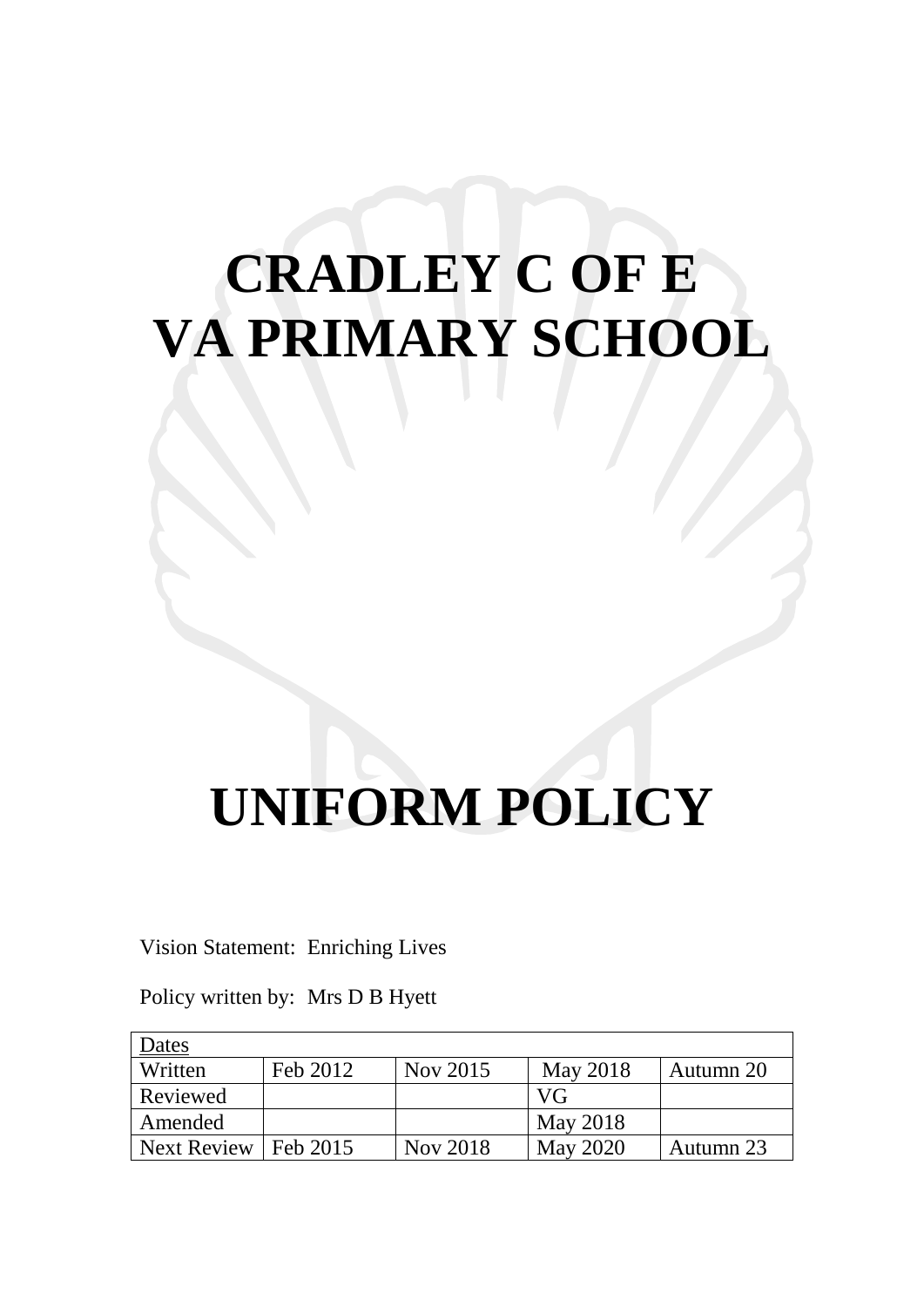# **CRADLEY C OF E VA PRIMARY SCHOOL**

# **UNIFORM POLICY**

## Vision Statement: Enriching Lives

Policy written by: Mrs D B Hyett

| Dates              |          |          |                 |           |
|--------------------|----------|----------|-----------------|-----------|
| Written            | Feb 2012 | Nov 2015 | May 2018        | Autumn 20 |
| Reviewed           |          |          | VG              |           |
| Amended            |          |          | <b>May 2018</b> |           |
| <b>Next Review</b> | Feb 2015 | Nov 2018 | <b>May 2020</b> | Autumn 23 |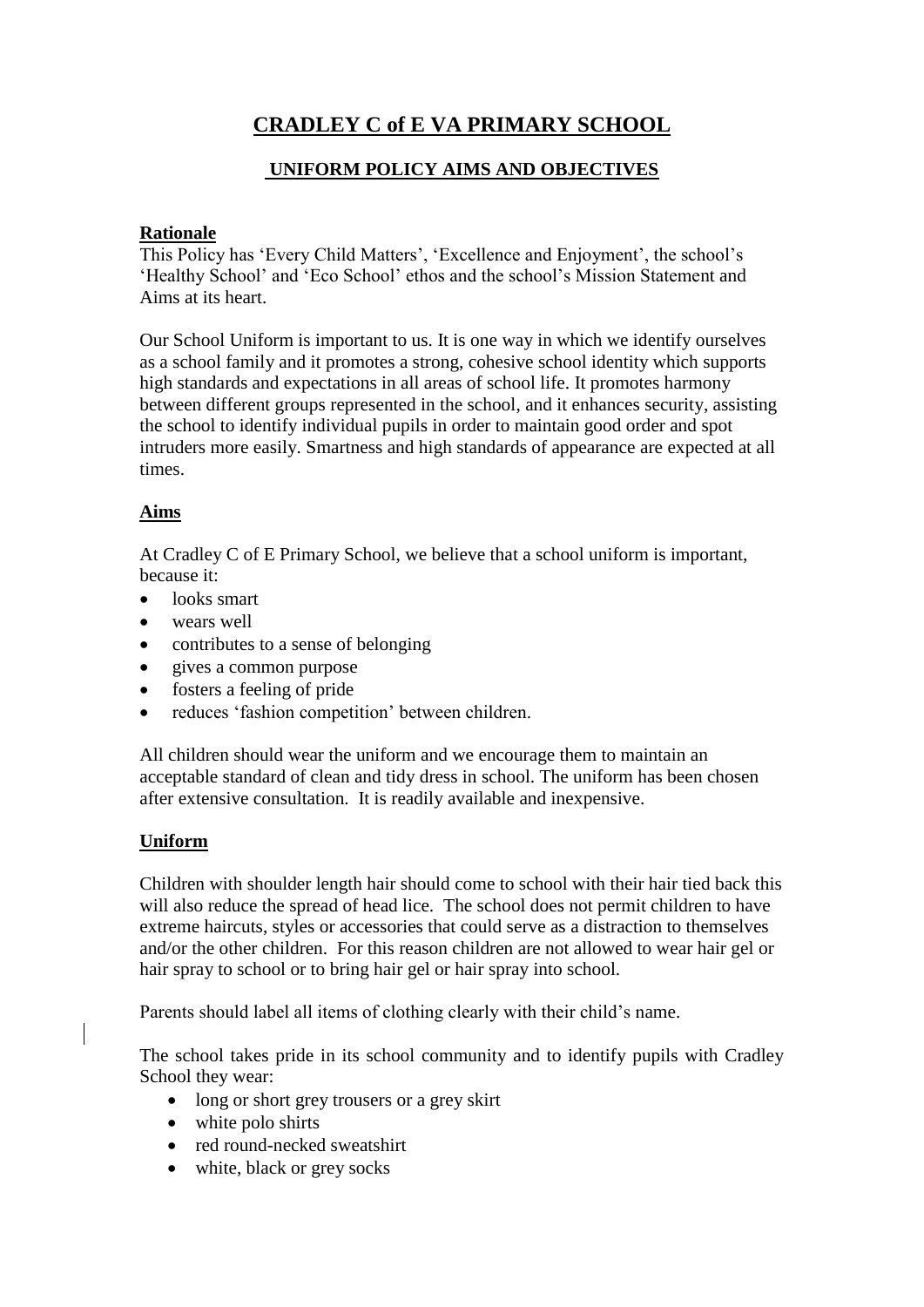# **CRADLEY C of E VA PRIMARY SCHOOL**

## **UNIFORM POLICY AIMS AND OBJECTIVES**

#### **Rationale**

This Policy has 'Every Child Matters', 'Excellence and Enjoyment', the school's 'Healthy School' and 'Eco School' ethos and the school's Mission Statement and Aims at its heart.

Our School Uniform is important to us. It is one way in which we identify ourselves as a school family and it promotes a strong, cohesive school identity which supports high standards and expectations in all areas of school life. It promotes harmony between different groups represented in the school, and it enhances security, assisting the school to identify individual pupils in order to maintain good order and spot intruders more easily. Smartness and high standards of appearance are expected at all times.

### **Aims**

At Cradley C of E Primary School, we believe that a school uniform is important, because it:

- looks smart
- wears well
- contributes to a sense of belonging
- gives a common purpose
- fosters a feeling of pride
- reduces 'fashion competition' between children.

All children should wear the uniform and we encourage them to maintain an acceptable standard of clean and tidy dress in school. The uniform has been chosen after extensive consultation. It is readily available and inexpensive.

### **Uniform**

Children with shoulder length hair should come to school with their hair tied back this will also reduce the spread of head lice. The school does not permit children to have extreme haircuts, styles or accessories that could serve as a distraction to themselves and/or the other children. For this reason children are not allowed to wear hair gel or hair spray to school or to bring hair gel or hair spray into school.

Parents should label all items of clothing clearly with their child's name.

The school takes pride in its school community and to identify pupils with Cradley School they wear:

- long or short grey trousers or a grey skirt
- white polo shirts
- red round-necked sweatshirt
- white, black or grey socks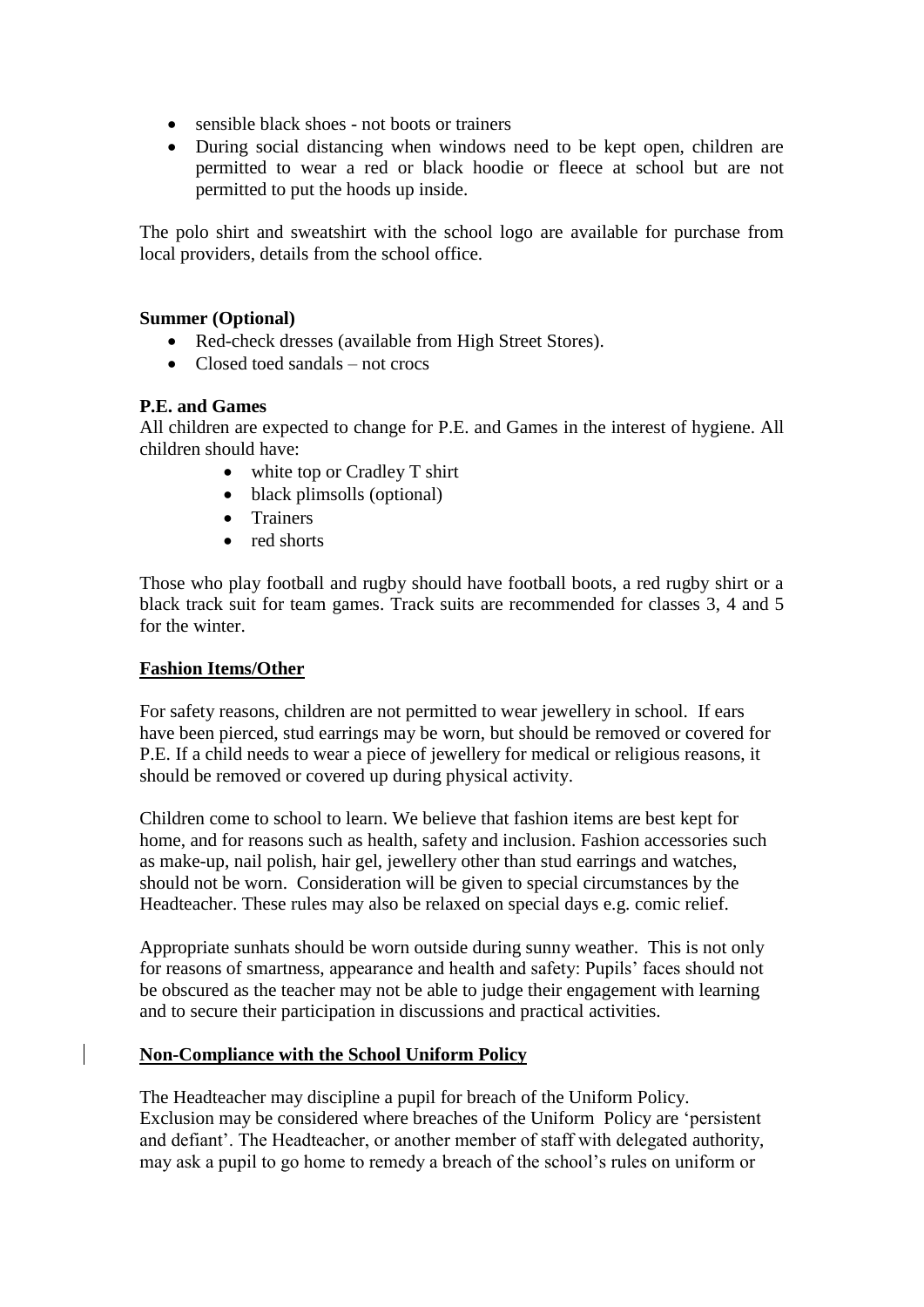- sensible black shoes not boots or trainers
- During social distancing when windows need to be kept open, children are permitted to wear a red or black hoodie or fleece at school but are not permitted to put the hoods up inside.

The polo shirt and sweatshirt with the school logo are available for purchase from local providers, details from the school office.

#### **Summer (Optional)**

- Red-check dresses (available from High Street Stores).
- $\bullet$  Closed toed sandals not crocs

#### **P.E. and Games**

All children are expected to change for P.E. and Games in the interest of hygiene. All children should have:

- white top or Cradley T shirt
- black plimsolls (optional)
- Trainers
- red shorts

Those who play football and rugby should have football boots, a red rugby shirt or a black track suit for team games. Track suits are recommended for classes 3, 4 and 5 for the winter.

#### **Fashion Items/Other**

For safety reasons, children are not permitted to wear jewellery in school. If ears have been pierced, stud earrings may be worn, but should be removed or covered for P.E. If a child needs to wear a piece of jewellery for medical or religious reasons, it should be removed or covered up during physical activity.

Children come to school to learn. We believe that fashion items are best kept for home, and for reasons such as health, safety and inclusion. Fashion accessories such as make-up, nail polish, hair gel, jewellery other than stud earrings and watches, should not be worn. Consideration will be given to special circumstances by the Headteacher. These rules may also be relaxed on special days e.g. comic relief.

Appropriate sunhats should be worn outside during sunny weather. This is not only for reasons of smartness, appearance and health and safety: Pupils' faces should not be obscured as the teacher may not be able to judge their engagement with learning and to secure their participation in discussions and practical activities.

### **Non-Compliance with the School Uniform Policy**

The Headteacher may discipline a pupil for breach of the Uniform Policy. Exclusion may be considered where breaches of the Uniform Policy are 'persistent and defiant'. The Headteacher, or another member of staff with delegated authority, may ask a pupil to go home to remedy a breach of the school's rules on uniform or